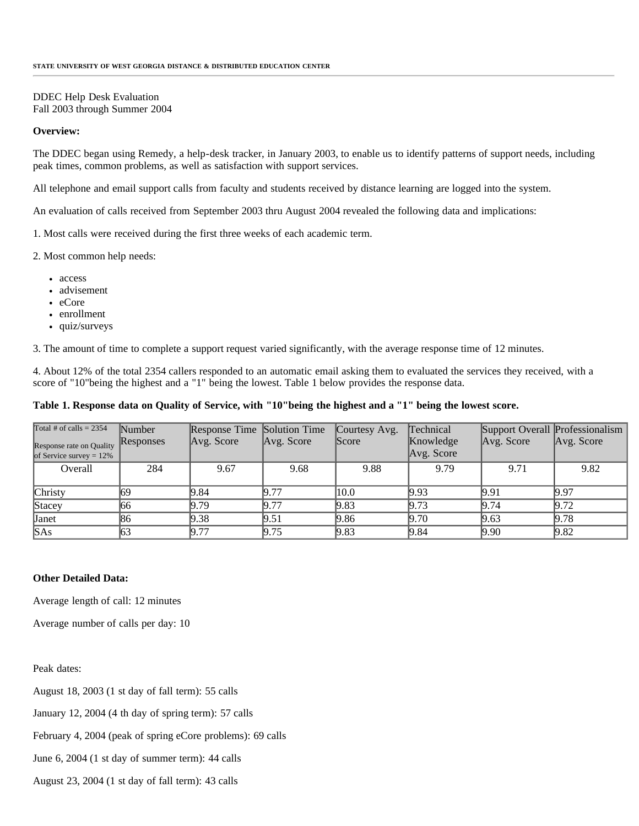## DDEC Help Desk Evaluation Fall 2003 through Summer 2004

## **Overview:**

The DDEC began using Remedy, a help-desk tracker, in January 2003, to enable us to identify patterns of support needs, including peak times, common problems, as well as satisfaction with support services.

All telephone and email support calls from faculty and students received by distance learning are logged into the system.

An evaluation of calls received from September 2003 thru August 2004 revealed the following data and implications:

1. Most calls were received during the first three weeks of each academic term.

2. Most common help needs:

- access
- advisement
- eCore
- enrollment
- quiz/surveys

3. The amount of time to complete a support request varied significantly, with the average response time of 12 minutes.

4. About 12% of the total 2354 callers responded to an automatic email asking them to evaluated the services they received, with a score of "10"being the highest and a "1" being the lowest. Table 1 below provides the response data.

## **Table 1. Response data on Quality of Service, with "10"being the highest and a "1" being the lowest score.**

| Total # of calls = $2354$<br>Response rate on Quality<br>of Service survey = $12\%$ | Number<br>Responses | Response Time Solution Time<br>Avg. Score | Avg. Score | Courtesy Avg.<br><b>Score</b> | Technical<br>Knowledge<br>Avg. Score | Support Overall Professionalism<br>$\forall$ Avg. Score | Avg. Score |
|-------------------------------------------------------------------------------------|---------------------|-------------------------------------------|------------|-------------------------------|--------------------------------------|---------------------------------------------------------|------------|
| Overall                                                                             | 284                 | 9.67                                      | 9.68       | 9.88                          | 9.79                                 | 9.71                                                    | 9.82       |
| Christy                                                                             | 169                 | 19.84                                     | 9.77       | 10.0                          | 9.93                                 | 19.91                                                   | 9.97       |
| Stacey                                                                              | 166                 | 9.79                                      | 19.77      | 9.83                          | 9.73                                 | 19.74                                                   | 9.72       |
| Janet                                                                               | 186                 | 9.38                                      | 9.51       | 9.86                          | 9.70                                 | 9.63                                                    | 9.78       |
| SAs                                                                                 | 63                  | 9.77                                      | 9.75       | 9.83                          | 9.84                                 | 9.90                                                    | 9.82       |

## **Other Detailed Data:**

Average length of call: 12 minutes

Average number of calls per day: 10

Peak dates:

August 18, 2003 (1 st day of fall term): 55 calls

January 12, 2004 (4 th day of spring term): 57 calls

February 4, 2004 (peak of spring eCore problems): 69 calls

June 6, 2004 (1 st day of summer term): 44 calls

August 23, 2004 (1 st day of fall term): 43 calls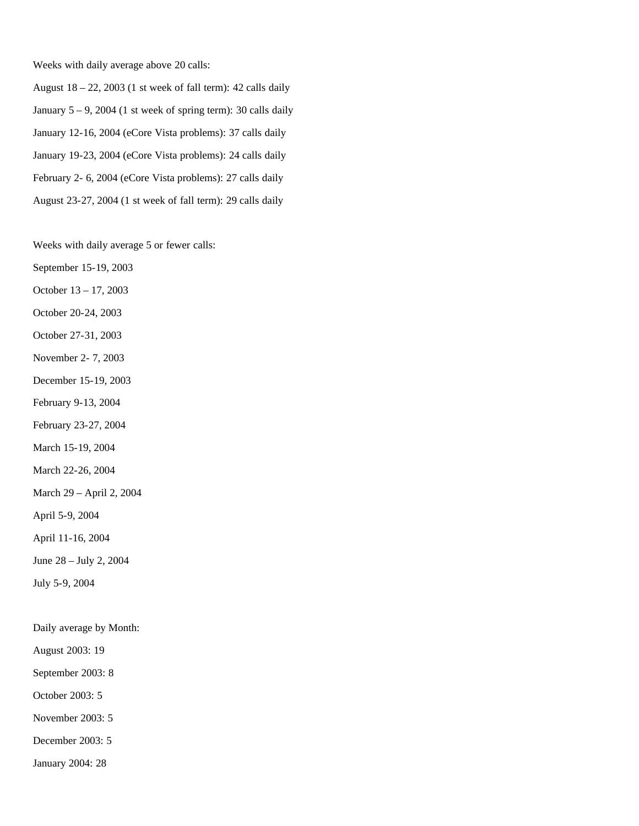Weeks with daily average above 20 calls:

August  $18 - 22$ ,  $2003$  (1 st week of fall term): 42 calls daily January  $5 - 9$ , 2004 (1 st week of spring term): 30 calls daily January 12-16, 2004 (eCore Vista problems): 37 calls daily January 19-23, 2004 (eCore Vista problems): 24 calls daily February 2- 6, 2004 (eCore Vista problems): 27 calls daily August 23-27, 2004 (1 st week of fall term): 29 calls daily

Weeks with daily average 5 or fewer calls:

September 15-19, 2003

October 13 – 17, 2003

October 20-24, 2003

October 27-31, 2003

November 2- 7, 2003

December 15-19, 2003

February 9-13, 2004

February 23-27, 2004

March 15-19, 2004

March 22-26, 2004

March 29 – April 2, 2004

April 5-9, 2004

April 11-16, 2004

June 28 – July 2, 2004

July 5-9, 2004

Daily average by Month:

August 2003: 19

September 2003: 8

October 2003: 5

November 2003: 5

December 2003: 5

January 2004: 28